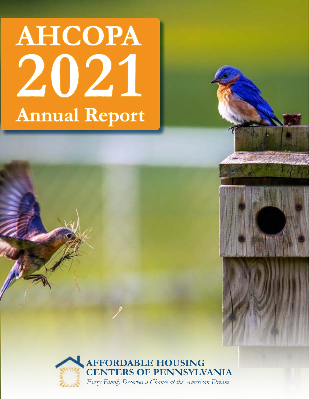# **AHCOPA 2021 Annual Report**

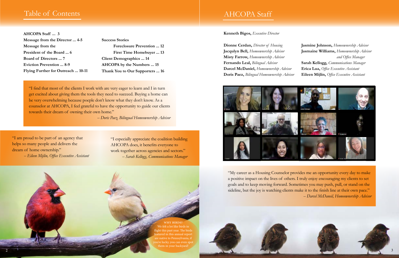## Table of Contents

## AHCOPA Staff

"My career as a Housing Counselor provides me an opportunity every day to make a positive impact on the lives of others. I truly enjoy encouraging my clients to set goals and to keep moving forward. Sometimes you may push, pull, or stand on the sideline, but the joy is watching clients make it to the finish line at their own pace." *-- Darcel McDaneil, Homeownership Advisor*



**Kenneth Bigos,** *Executive Director*

**Dionne Cerdan,** *Director of Housing* **Jacqulyn Bell,** *Homeownership Advisor* **Misty Farrow,** *Homeownership Advisor* **Fernando Leal,** *Bilingual Advisor* **Darcel McDaniel,** *Homeownership Advisor* **Doris Paez,** *Bilingual Homeownership Advisor*



**Jasmine Johnson,** *Homeownership Advisor*  **Jasmaine Williams,** *Homeownership Advisor and Office Manager* **Sarah Kellogg,** *Communications Manager* **Erica Lua,** *Office Executive Assistant* **Eileen Mijlin,** *Office Executive Assistant*



**AHCOPA Staff ... 3 Message from the Director ... 4-5 Message from the President of the Board ... 6 Board of Directors ... 7 Eviction Prevention ... 8-9 Flying Further for Outreach ... 10-11**

**Success Stories Foreclosure Prevention ... 12 First Time Homebuyer ... 13 Client Demographics ... 14 AHCOPA by the Numbers ... 15 Thank You to Our Supporters ... 16**

"I am proud to be part of an agency that helps so many people and delivers the dream of home ownership." *-- Eileen Mijlin, Office Executive Assistant*

"I especially appreciate the coalition building AHCOPA does, it benefits everyone to work together across agencies and sectors." *-- Sarah Kellogg, Communications Manager*

"I find that most of the clients I work with are very eager to learn and I in turn get excited about giving them the tools they need to succeed. Buying a home can be very overwhelming because poeple don't know what they don't know. As a counselor at AHCOPA, I feel grateful to have the opportunity to guide our clients towards their dream of owning their own home."

*-- Doris Paez, Bilingual Homeownership Advisor*

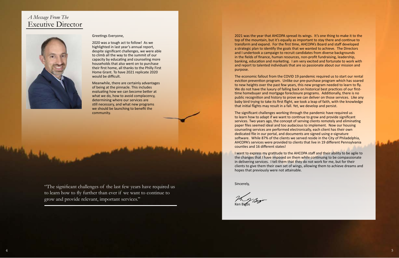2021 was the year that AHCOPA spread its wings. It's one thing to make it to the top of the mountain, but it's equally as important to stay there and continue to transform and expand. For the first time, AHCOPA's Board and staff developed a strategic plan to identify the goals that we wanted to achieve. The Directors and I undertook a campaign to recruit candidates from diverse backgrounds in the fields of finance, human resources, non-profit fundraising, leadership, banking, education and marketing. I am very excited and fortunate to work with and report to talented individuals that are so passionate about our mission and purpose.

The economic fallout from the COVID 19 pandemic required us to start our rental eviction prevention program. Unlike our pre-purchase program which has soared to new heights over the past few years, this new program needed to learn to fly. We do not have the luxury of falling back on historical best practices of our firsttime homebuyer and mortgage foreclosure programs. Additionally, there is no public recognition and history to prove we can deliver on those services. Like any baby bird trying to take its first flight, we took a leap of faith, with the knowledge that initial flights may result in a fall. Yet, we develop and persist.

The significant challenges working through the pandemic have required us to learn how to adapt if we want to continue to grow and provide significant services. Two years ago, the concept of serving clients remotely and eliminating paper files seemed ideal and too audacious to implement. Now our housing counseling services are performed electronically, each client has their own dedicated file in our portal, and documents are signed using e-signature software. While 87% of the clients we served reside in the City of Philadelphia, AHCOPA's services were provided to clients that live in 19 different Pennsylvania counties and 16 different states!

I want to express my gratitude to the AHCOPA staff and their ability to be agile to the changes that I have imposed on them while continuing to be compassionate in delivering services. I tell them that they do not work for me, but for their clients to give them their own set of wings, allowing them to achieve dreams and hopes that previously were not attainable.

Sincerely,

Ken Bigos

"The significant challenges of the last few years have required us to learn how to fly further than ever if we want to continue to grow and provide relevant, important services."

### Greetings Everyone,

2020 was a tough act to follow! As we highlighted in last year's annual report, despite significant challenges, we were able to climb all the way to the summit of our capacity by educating and counseling more households that also went on to purchase their first home, all thanks to the Philly First Home Grant. To have 2021 replicate 2020 would be difficult.

Meanwhile, there are certainly advantages of being at the pinnacle. This includes evaluating how we can become better at what we do, how to avoid complacency, determining where our services are still necessary, and what new programs we should be launching to benefit the community.

## *A Message From The* Exeutive Director

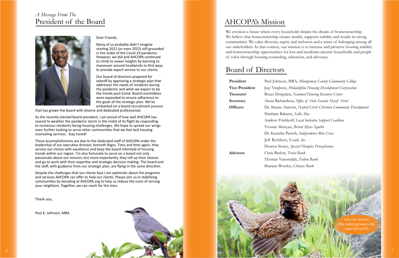### Dear Friends,

Many of us probably didn't imagine starting 2021 (or even 2022) still grounded in the midst of the Covid-19 pandemic. However, we did and AHCOPA continued to climb to newer heights by learning to maneuver around headwinds to find ways to provide expert service to our clients.

Our board of directors prepared for takeoff by approving a strategic plan that addresses the needs of residents during the pandemic and what we expect to be the trends post-Covid. Board committees were expanded to ensure adherence to the goals of the strategic plan. We've embarked on a board recruitment process

that has grown the board with diverse and dedicated professionals

As the recently elected board president, I am proud of how well AHCOPA has soared to weather the pandemic storm in the midst of its flight by responding to numerous residents facing housing challenges. We hope to spread our wings even further looking to serve other communities that we feel lack housing counseling services. Stay tuned!

**President** Paul Johnson, MBA, *Montgomery County Community College* **Vice President** Jojy Varghese, *Philadelphia Housing Development Corporation* **Treasurer** Bruce Dorpalen, *National Housing Resource Center* **Secretary** Aissia Richardson, *Office of State Senator Sharif Street* **Officers** Dr. Shante Antrom, *Oxford Circle Christian Community Development*  Haitham Bakarat, *Sallie Mae* Andrew Frishkoff, *Local Initiative Support Coalition* Yvonne Munyan, *Bristol Myers Squibb* Dr. Kanisha Parrish, *Independence Blue Cross* Jeff Ryckbost, *Exude, Inc.* Doreen Storey, *Special Olympics Pennsylvania* **Advisors** Chris Barlow, *Truist Bank* Thomas Vanorsdale, *Fulton Bank* Sharana Worsley, *Citizens Bank*



These accomplishments are due to the dedicated staff of AHCOPA under the leadership of our executive director, Kenneth Bigos. Time and time again, they service our clients with excellence and keep the board informed of housing trends within our region. I'm also fortunate to serve on a board not only passionate about our mission, but more importantly, they roll up their sleeves and go to work with their expertise and strategic decision making. The board and the staff, with guidance from our strategic plan, are flying in the same direction.

Despite the challenges that our clients face I am optimistic about the programs and services AHCOPA can offer to help our clients. Please join us in stabilizing communities by donating at AHCOPA.org to help us reduce the costs of serving your neighbors. Together, we can reach for the stars.

Thank you,

Paul K. Johnson, MBA

## *A Message From The* President of the Board



## Board of Directors

We envision a future where every household obtains the dream of homeownership. We believe that homeownership creates wealth, supports stability and results in strong communities. We value diversity, equity and inclusion and a sense of belonging among all our stakeholders. In that context, our mission is to increase and preserve housing stability and homeownership opportunities for low-and moderate-income households and people of color through housing counseling, education, and advocacy.

## AHCOPA's Mission

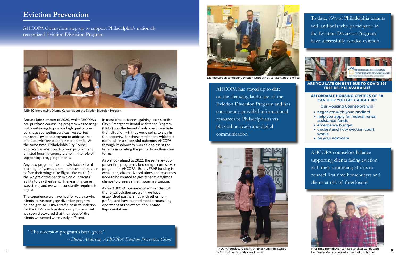Around late summer of 2020, while AHCOPA's pre-purchase counseling program was soaring high continuing to provide high quality prepurchase counseling services, we started our rental eviction program to address the influx of evictions due to the pandemic. At the same time, Philadelphia City Council approved an eviction diversion program and enlisted housing counselors to fill the role of supporting struggling tenants.

Any new program, like a newly hatched bird learning to fly, requires some time and practice before their wings take flight. We could feel the weight of the pandemic on our clients' ability to pay their rent. The learning curve was steep, and we were constantly required to adjust.

The experience we have had for years serving clients in the mortgage diversion program helped give AHCOPA's staff a basic foundation for the City's eviction diversion program. But we soon discovered that the needs of the clients we served were vastly different.

In most circumstances, gaining access to the City's Emergency Rental Assistance Program (ERAP) was the tenants' only way to mediate their situation – if they were going to stay in the property. For those mediations which did not result in a successful outcome, AHCOPA, through its advocacy, was able to assist the tenants in vacating the property on their own terms.

As we look ahead to 2022, the rental eviction prevention program is becoming a core service program for AHCOPA. But as ERAP funding is exhausted, alternative solutions and resources need to be created to give tenants a fighting chance to preserve their housing situation.



AHCOPA foreclosure client, Virginia Hamilton, stands in front of her recently saved home  $8$  and the contract of the contract of the contract of the contract of the contract of the contract of the control conduction, status  $\frac{1}{2}$  and  $\frac{1}{2}$  and  $\frac{1}{2}$  and  $\frac{1}{2}$  and  $\frac{1}{2}$  and  $\frac{1}{2}$  and  $\$ 



As for AHCOPA, we are excited that through the rental eviction program, we have established partnerships with other nonprofits, and have created mobile counseling operations at the offices of our State Representatives.

 $\Delta HCDDA$  counselors belance AHCOPA counselors balance ortino clients facino eviction supporting clients facing eviction with their continuing efforts to counsel first time homebueyrs and clients at risk of foreclosure.

## **Eviction Prevention**



 *-- David Anderson, AHCOPA Eviction Prevention Client*

AHCOPA Counselors step up to support Philadelphia's nationally recognized Eviction Diversion Program

## **AFFORDABLE HOUSING CENTERS OF PA CAN HELP YOU GET CAUGHT UP!**

December 31, 2021. **This means your landlord cannot file to**

- negotiate with your landlord
- help you apply for federal rental assistance funds
- emergency budget
- understand how eviction court works
- be your advocate

Our Housing Counselors will:

**ARE YOU LATE ON RENT DUE TO COVID-19? FREE HELP IS AVAILABLE!**



Dionne Cerdan conducting Eviction Outreach at Senator Street's office.

AHCOPA has stayed up to date on the changing landscape of the Eviction Diversion Program and has consistently provided informational resources to Philadelphians via physical outreach and digital communication.

To date, 93% of Philadelphia tenants and landlords who participated in the Eviction Diversion Program have successfully avoided eviction.





MSNBC interviewing Dionne Cerdan about the Eviction Diversion Program.



First Time Homebuyer Vanessa Gnakpa stands with her family after successfully purchasing a home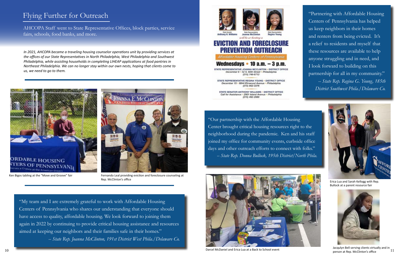## Flying Further for Outreach

*In 2021, AHCOPA became a traveling housing counselor operations unit by providing services at the offices of our State Representatives in North Philadelphia, West Philadelphia and Southwest Philadelphia, while assisting households in completing LIHEAP applications at food pantries in Northeast Philadelphia. We can no longer stay within our own nests, hoping that clients come to us, we need to go to them.*



"My team and I are extremely grateful to work with Affordable Housing Centers of Pennsylvania who shares our understanding that everyone should have access to quality, affordable housing. We look forward to joining them again in 2022 by continuing to provide critical housing assistance and resources aimed at keeping our neighbors and their families safe in their homes." *-- State Rep. Joanna McClinton, 191st District West Phila./Delaware Co.* 







will be co-hosting a

## **EVICTION AND FORECLOSURE PREVENTION OUTREACH**

Affordable Housing Centers of Pennsylvania

## Wednesdays  $\cdot$  10 a.m.  $-3$  p.m.

STATE REPRESENTATIVE JOANNA MCCLINTON - DISTRICT OFFICE December 8 - 52 S. 60th Street - Philadelphia  $(215)$  748-6712

STATE REPRESENTATIVE REGINA YOUNG - DISTRICT OFFICE December 15 · 6844 Elmwood Avenue · Philadelphia (215) 952-3376

STATE SENATOR ANTHONY WILLIAMS · DISTRICT OFFICE Call for Assistance + 2901 Island Avenue + Philadelphia  $(215)$  492-2980

Ken Bigos tabling at the "Move and Groove" fair Fernando Leal providing eviction and foreclosure counseling at Rep. McClinton's office

"Our partnership with the Affordable Housing Center brought critical housing resources right to the neighborhood during the pandemic. Ken and his staff joined my office for community events, curbside office days and other outreach efforts to connect with folks."  *-- State Rep. Donna Bullock, 195th District/North Phila.*



"Partnering with Affordable Housing Centers of Pennsylvania has helped us keep neighbors in their homes and renters from being evicted. It's a relief to residents and myself that these resources are available to help anyone struggling and in need, and I look forward to building on this partnership for all in my community." *-- State Rep. Regina G. Young, 185th District Southwest Phila./Delaware Co.*

AHCOPA Staff went to State Representative Offices, block parties, service fairs, schools, food banks, and more.



Erica Lua and Sarah Kellogg with Rep. Bullock at a parent resource fair



Darcel McDaniel and Erica Lua at a Back to School event<br>
person at Rep. McClinton's office 11 Jacqulyn Bell serving clients virtually and in<br>norson at Bon, McClinton's office [11]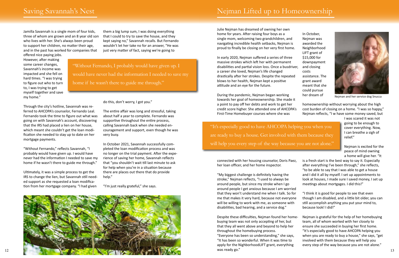Julie Nejman has dreamed of owning her own home for years. After raising four boys as a single mom, welcoming two grandchildren, and navigating incredible health setbacks, Nejman is proud to finally be closing on her very first home.

In early 2020, Nejman suffered a series of three massive strokes which left her with permanent disabilities and partial vision loss. Once a busdriv a career she loved, Nejman's life changed drastically after her strokes. Despite the repeated blows to her health, Nejman kept a positive attitude and an eye for the future.

connected with her housing counselor, Doris Paez, her loan officer, and her home inspector.

"My biggest challenge is definitely having the stroke," Nejman reflects, "I used to always be around people, but since my stroke when I go around people I get anxious because I am worried that they won't understand me when I talk. So for me that makes it very hard, because not everyone will be willing to work with me, as someone with disabilities, bad hearing, and a service dog."

Despite these difficulties, Nejman found her homebuying team was not only accepting of her, but that they all went above and beyond to help her throughout the homebuying process.

"It's especially good to have AHCOPA helping you when you are ready to buy a house. Get involved with them because they will help you every step of the way because you are not alone."

"Everyone has been so understanding," she says, "It has been so wonderful. When it was time to apply for the NighborhoodLIFT grant, everything was ready go."

|      | In October,     |
|------|-----------------|
|      | Nejman was      |
|      | awarded the     |
|      | Neighborhood    |
|      | LIFT grant of   |
|      | \$15,000 for    |
|      | downpayment     |
| /er, | and closing     |
|      |                 |
|      | costs           |
| d    | assistance. The |
|      | grant award     |
|      | meant that she  |
|      | could pursue    |
|      | her dream of    |



During the pandemic, Nejman began working towards her goal of homeownership. She made it a point to pay off her debts and work to get her credit score higher. She attended one of AHCOPA's First-Time Homebuyer courses where she was her dream of homeownership without worrying about the high cost burden of closing on a home. "I was so happy," Nejman reflects, "I w have some money saved, but Nejman and her service dog Snucca

> I was scared it was not going to be enough to cover everything. Now, I can breathe a sigh of relief."

Nejman is excited for the peace of mind owning a home will give her. "It

- is a fresh start is the best way to say it. Especially after everything I've been through," she reflects, "to be able to say that I was able to get a house and I did it all by myself. I set up appointments to look at houses, I made sure I saved money, I set up meetings about mortgages. I did this!"
- "I think it is good for people to see that even though I am disabled, and a little bit older, you can still accomplish anything you put your mind to, because look! I did!"
- Nejman is grateful for the help of her homebuying team, all of whom worked with her closely to ensure she succeeded in buying her first home. "It's especially good to have AHCOPA helping you when you are ready to buy a house," she says, "get involved with them because they will help you every step of the way because you are not alone."

Jamilla Savannah is a single mom of four kids, three of whom are grown and an 8 year old son who lives with her. She's always been proud to support her children, no matter their age, and in the past has worked for companies that

offered nice paying jobs. However, after making some career changes, Savannah's income was impacted and she fell on hard times. "I was trying to figure out who to turn to, I was trying to get myself together and save my home."

Through the city's hotline, Savannah was referred to AHCOPA's counselor, Fernando Leal. Fernando took the time to figure out what was going on with Savannah's account, discovering that the IRS had placed a lien on her house, which meant she couldn't get the loan modification she needed to stay up to date on her mortgage payments.

"Without Fernando," reflects Savannah, "I probably would have given up. I would have never had the information I needed to save my home if he wasn't there to guide me through."

Ultimately, it was a simple process to get the IRS to change the lien, but Savannah still needed support as she requested a loan modification from her mortgage company. "I had given

them a big lump sum, I was doing everything that I could to try to save the house, and they kept saying no," Savannah recalls. But Fernando wouldn't let her take no for an answer, "He was just very matter of fact, saying we're going to

do this, don't worry, I got you."

The entire affair was long and stressful, taking about half a year to complete. Fernando was supportive throughout the entire process, calling Savannah back when she needed encouragement and support, even though he was very busy.

In October 2021, Savannah successfully completed the loan modification process and was no longer on the trial payment. After the experience of saving her home, Savannah reflects that "you shouldn't wait till last minute to ask for help when you're in a situation because there are places out there that do provide help."

"I'm just really grateful," she says.

"Without Fernando, I probably would have given up. I would have never had the information I needed to save my home if he wasn't there to guide me through."



## Saving Savannah's Nest New York Nejman Lifted up to Homeownership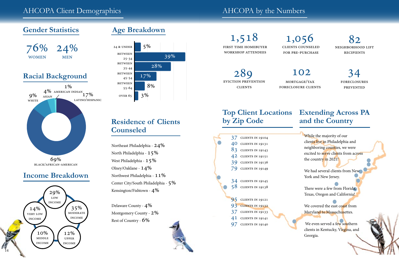## **Gender Statistics**

## **Income Breakdown**



# **Age Breakdown**



foreclosures **PREVENTED** 

## **Residence of Clients Counseled**

Northeast Philadelphia - 24% North Philadelphia - 15% West Philadelphia -  $15\%$ Olney/Oaklane - 14% Northwest Philadelphia -  $11\%$ Center City/South Philadelphia - 5% Kensington/Fishtown - 4%

Delaware County - 4% Montgomery County - 2% Rest of Country - 6%

We had several clients from New York and New Jersey.

First Time homebuyer workshop attendees

> We even served a few southern clients in Kentucky, Virgina, and Georgia.

clients counseled for pre-purchase 1,518 1,056

neighborhood lift **RECIPIENTS** 82

mortgage/tax foreclosure clients



eviction prevention **CLIENTS** 289 102 34

# **Top Client Locations by Zip Code**

## **Extending Across PA and the Country**





While the majority of our clients live in Philadelphia and neighboring counties, we were excited to serve clients from across the country in 2021!

There were a few from Florida, Texas, Oregon and California!

We covered the east coast from Maryland to Massachusettes.